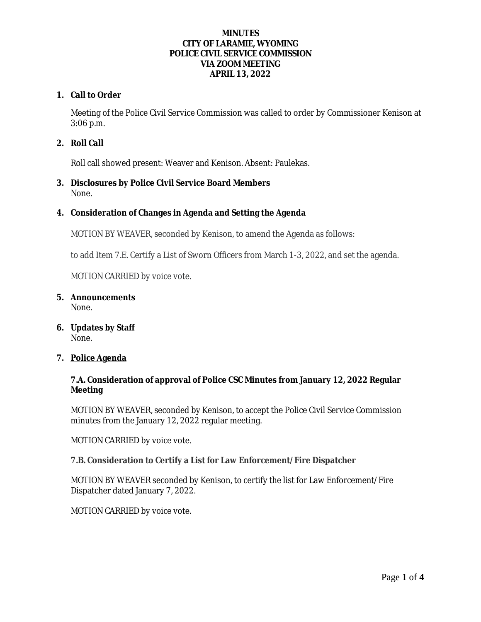## **MINUTES CITY OF LARAMIE, WYOMING POLICE CIVIL SERVICE COMMISSION VIA ZOOM MEETING APRIL 13, 2022**

## **1. Call to Order**

Meeting of the Police Civil Service Commission was called to order by Commissioner Kenison at 3:06 p.m.

## **2. Roll Call**

Roll call showed present: Weaver and Kenison. Absent: Paulekas.

#### **3. Disclosures by Police Civil Service Board Members** None.

### **4. Consideration of Changes in Agenda and Setting the Agenda**

MOTION BY WEAVER, seconded by Kenison, to amend the Agenda as follows:

to add Item 7.E. Certify a List of Sworn Officers from March 1-3, 2022, and set the agenda.

MOTION CARRIED by voice vote.

- **5. Announcements** None.
- **6. Updates by Staff** None.
- **7. Police Agenda**

### **7.A. Consideration of approval of Police CSC Minutes from January 12, 2022 Regular Meeting**

MOTION BY WEAVER, seconded by Kenison, to accept the Police Civil Service Commission minutes from the January 12, 2022 regular meeting.

MOTION CARRIED by voice vote.

#### **7.B. Consideration to Certify a List for Law Enforcement/Fire Dispatcher**

MOTION BY WEAVER seconded by Kenison, to certify the list for Law Enforcement/Fire Dispatcher dated January 7, 2022.

MOTION CARRIED by voice vote.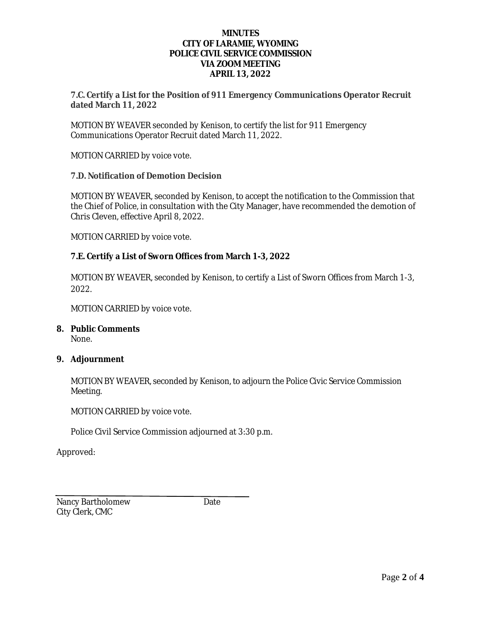#### **MINUTES CITY OF LARAMIE, WYOMING POLICE CIVIL SERVICE COMMISSION VIA ZOOM MEETING APRIL 13, 2022**

## **7.C. Certify a List for the Position of 911 Emergency Communications Operator Recruit dated March 11, 2022**

MOTION BY WEAVER seconded by Kenison, to certify the list for 911 Emergency Communications Operator Recruit dated March 11, 2022.

MOTION CARRIED by voice vote.

### **7.D. Notification of Demotion Decision**

MOTION BY WEAVER, seconded by Kenison, to accept the notification to the Commission that the Chief of Police, in consultation with the City Manager, have recommended the demotion of Chris Cleven, effective April 8, 2022.

MOTION CARRIED by voice vote.

## **7.E. Certify a List of Sworn Offices from March 1-3, 2022**

MOTION BY WEAVER, seconded by Kenison, to certify a List of Sworn Offices from March 1-3, 2022.

MOTION CARRIED by voice vote.

## **8. Public Comments**

None.

## **9. Adjournment**

MOTION BY WEAVER, seconded by Kenison, to adjourn the Police Civic Service Commission Meeting.

MOTION CARRIED by voice vote.

Police Civil Service Commission adjourned at 3:30 p.m.

Approved:

Nancy Bartholomew Date City Clerk, CMC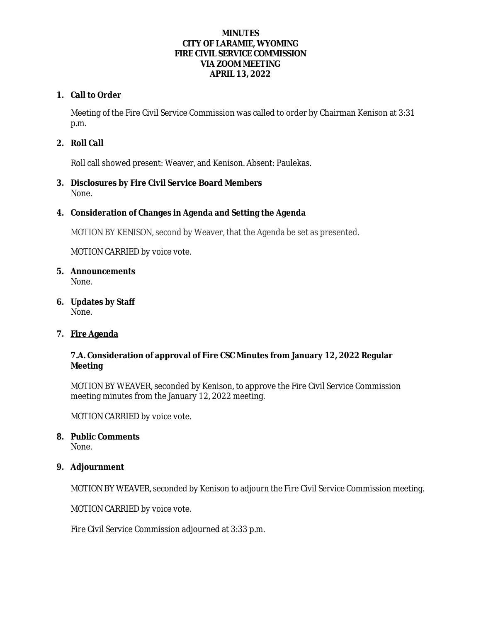## **MINUTES CITY OF LARAMIE, WYOMING FIRE CIVIL SERVICE COMMISSION VIA ZOOM MEETING APRIL 13, 2022**

# **1. Call to Order**

Meeting of the Fire Civil Service Commission was called to order by Chairman Kenison at 3:31 p.m.

# **2. Roll Call**

Roll call showed present: Weaver, and Kenison. Absent: Paulekas.

**3. Disclosures by Fire Civil Service Board Members** None.

# **4. Consideration of Changes in Agenda and Setting the Agenda**

MOTION BY KENISON, second by Weaver, that the Agenda be set as presented.

MOTION CARRIED by voice vote.

- **5. Announcements** None.
- **6. Updates by Staff** None.

## **7. Fire Agenda**

# **7.A. Consideration of approval of Fire CSC Minutes from January 12, 2022 Regular Meeting**

MOTION BY WEAVER, seconded by Kenison, to approve the Fire Civil Service Commission meeting minutes from the January 12, 2022 meeting.

MOTION CARRIED by voice vote.

## **8. Public Comments**

None.

## **9. Adjournment**

MOTION BY WEAVER, seconded by Kenison to adjourn the Fire Civil Service Commission meeting.

MOTION CARRIED by voice vote.

Fire Civil Service Commission adjourned at 3:33 p.m.